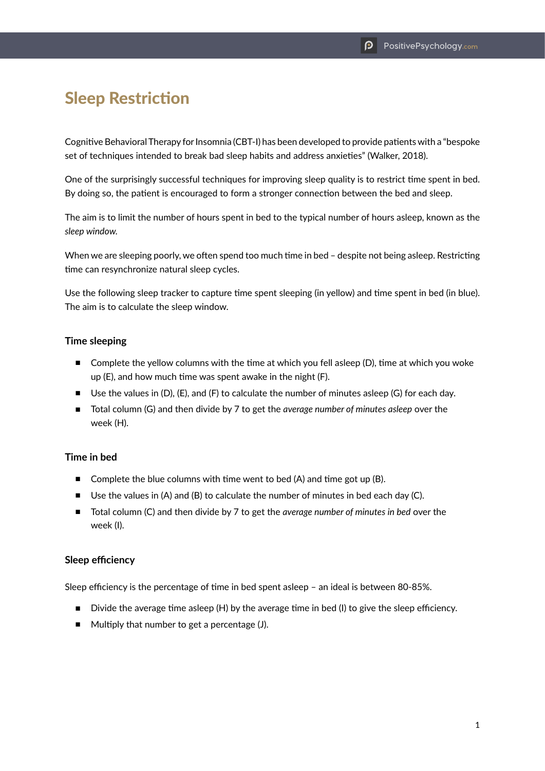# Sleep Restriction

Cognitive Behavioral Therapy for Insomnia (CBT-I) has been developed to provide patients with a "bespoke set of techniques intended to break bad sleep habits and address anxieties" (Walker, 2018).

One of the surprisingly successful techniques for improving sleep quality is to restrict time spent in bed. By doing so, the patient is encouraged to form a stronger connection between the bed and sleep.

The aim is to limit the number of hours spent in bed to the typical number of hours asleep, known as the *sleep window.*

When we are sleeping poorly, we often spend too much time in bed - despite not being asleep. Restricting time can resynchronize natural sleep cycles.

Use the following sleep tracker to capture time spent sleeping (in yellow) and time spent in bed (in blue). The aim is to calculate the sleep window.

### **Time sleeping**

- Complete the yellow columns with the time at which you fell asleep (D), time at which you woke up (E), and how much time was spent awake in the night (F).
- Use the values in (D), (E), and (F) to calculate the number of minutes asleep (G) for each day.
- Total column (G) and then divide by 7 to get the *average number of minutes asleep* over the week (H).

## **Time in bed**

- Complete the blue columns with time went to bed (A) and time got up (B).
- Use the values in (A) and (B) to calculate the number of minutes in bed each day (C).
- Total column (C) and then divide by 7 to get the *average number of minutes in bed* over the week (I).

#### **Sleep efficiency**

Sleep efficiency is the percentage of time in bed spent asleep – an ideal is between 80-85%.

- $\blacksquare$  Divide the average time asleep (H) by the average time in bed (I) to give the sleep efficiency.
- Multiply that number to get a percentage (J).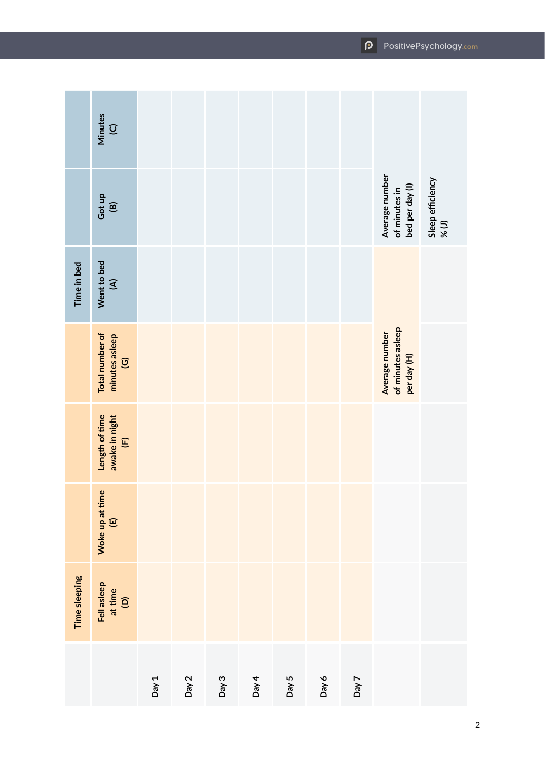|               | <b>Minutes</b><br>$\overline{Q}$                               |       |       |       |       |       |       |       |                                                    |                           |
|---------------|----------------------------------------------------------------|-------|-------|-------|-------|-------|-------|-------|----------------------------------------------------|---------------------------|
|               | Got up<br>$\widehat{\mathbf{e}}$                               |       |       |       |       |       |       |       | Average number<br>of minutes in<br>bed per day (l) | Sleep efficiency<br>% (J) |
| Time in bed   | Went to bed<br>$\widehat{\mathcal{L}}$                         |       |       |       |       |       |       |       |                                                    |                           |
|               | Total number of<br>minutes asleep<br>$\overline{\mathfrak{S}}$ |       |       |       |       |       |       |       | Average number<br>of minutes asleep<br>per day (H) |                           |
|               | Length of time<br>awake in night<br>(F)                        |       |       |       |       |       |       |       |                                                    |                           |
|               | Woke up at time<br>$\widehat{\Xi}$                             |       |       |       |       |       |       |       |                                                    |                           |
| Time sleeping | Fell asleep<br>at time<br>(D)                                  |       |       |       |       |       |       |       |                                                    |                           |
|               |                                                                | Day 1 | Day 2 | Day 3 | Day 4 | Day 5 | Day 6 | Day 7 |                                                    |                           |